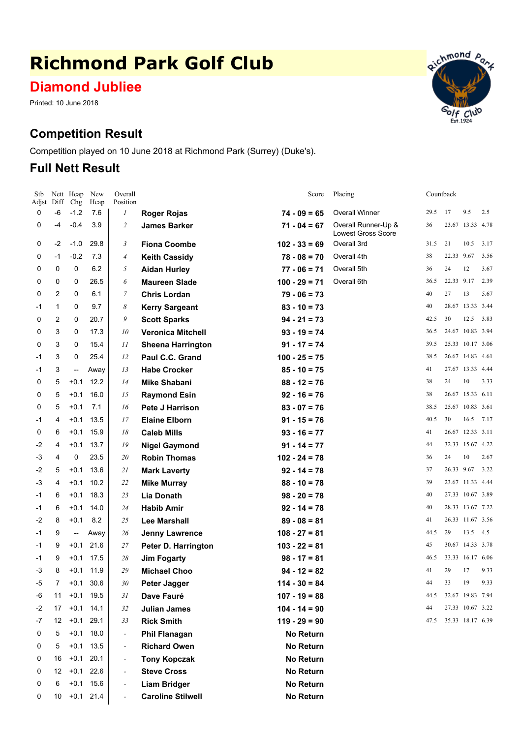# **Richmond Park Golf Club**

**Diamond Jubliee**

Printed: 10 June 2018

# **Competition Result**

Competition played on 10 June 2018 at Richmond Park (Surrey) (Duke's).

## **Full Nett Result**



| Stb<br>Adjst | Diff           | Nett Heap<br>Chg         | New<br>Hcap | Overall<br>Position      |                          | Score            | Placing                                          |      | Countback  |                  |      |
|--------------|----------------|--------------------------|-------------|--------------------------|--------------------------|------------------|--------------------------------------------------|------|------------|------------------|------|
| 0            | $-6$           | $-1.2$                   | 7.6         | 1                        | <b>Roger Rojas</b>       | $74 - 09 = 65$   | <b>Overall Winner</b>                            | 29.5 | 17         | 9.5              | 2.5  |
| 0            | -4             | $-0.4$                   | 3.9         | $\overline{c}$           | <b>James Barker</b>      | $71 - 04 = 67$   | Overall Runner-Up &<br><b>Lowest Gross Score</b> | 36   |            | 23.67 13.33 4.78 |      |
| 0            | $-2$           | $-1.0$                   | 29.8        | 3                        | <b>Fiona Coombe</b>      | $102 - 33 = 69$  | Overall 3rd                                      | 31.5 | 21         | 10.5             | 3.17 |
| 0            | $-1$           | $-0.2$                   | 7.3         | $\overline{4}$           | <b>Keith Cassidy</b>     | $78 - 08 = 70$   | Overall 4th                                      | 38   | 22.33 9.67 |                  | 3.56 |
| 0            | $\mathbf 0$    | 0                        | 6.2         | 5                        | <b>Aidan Hurley</b>      | $77 - 06 = 71$   | Overall 5th                                      | 36   | 24         | 12               | 3.67 |
| 0            | 0              | 0                        | 26.5        | 6                        | <b>Maureen Slade</b>     | $100 - 29 = 71$  | Overall 6th                                      | 36.5 | 22.33 9.17 |                  | 2.39 |
| 0            | 2              | 0                        | 6.1         | 7                        | <b>Chris Lordan</b>      | $79 - 06 = 73$   |                                                  | 40   | 27         | 13               | 5.67 |
| -1           | 1              | 0                        | 9.7         | 8                        | <b>Kerry Sargeant</b>    | $83 - 10 = 73$   |                                                  | 40   |            | 28.67 13.33 3.44 |      |
| 0            | 2              | 0                        | 20.7        | 9                        | <b>Scott Sparks</b>      | $94 - 21 = 73$   |                                                  | 42.5 | 30         | 12.5             | 3.83 |
| 0            | 3              | 0                        | 17.3        | 10                       | <b>Veronica Mitchell</b> | $93 - 19 = 74$   |                                                  | 36.5 |            | 24.67 10.83 3.94 |      |
| 0            | 3              | 0                        | 15.4        | 11                       | <b>Sheena Harrington</b> | $91 - 17 = 74$   |                                                  | 39.5 |            | 25.33 10.17 3.06 |      |
| -1           | 3              | 0                        | 25.4        | 12                       | Paul C.C. Grand          | $100 - 25 = 75$  |                                                  | 38.5 |            | 26.67 14.83 4.61 |      |
| -1           | 3              | $\overline{\phantom{a}}$ | Away        | 13                       | <b>Habe Crocker</b>      | $85 - 10 = 75$   |                                                  | 41   |            | 27.67 13.33 4.44 |      |
| 0            | 5              | $+0.1$                   | 12.2        | 14                       | <b>Mike Shabani</b>      | $88 - 12 = 76$   |                                                  | 38   | 24         | 10               | 3.33 |
| 0            | 5              | $+0.1$                   | 16.0        | 15                       | <b>Raymond Esin</b>      | $92 - 16 = 76$   |                                                  | 38   |            | 26.67 15.33 6.11 |      |
| 0            | 5              | $+0.1$                   | 7.1         | 16                       | <b>Pete J Harrison</b>   | $83 - 07 = 76$   |                                                  | 38.5 |            | 25.67 10.83 3.61 |      |
| -1           | 4              | $+0.1$                   | 13.5        | 17                       | <b>Elaine Elborn</b>     | $91 - 15 = 76$   |                                                  | 40.5 | 30         | 16.5             | 7.17 |
| 0            | 6              | $+0.1$                   | 15.9        | 18                       | <b>Caleb Mills</b>       | $93 - 16 = 77$   |                                                  | 41   |            | 26.67 12.33 3.11 |      |
| -2           | 4              | $+0.1$                   | 13.7        | 19                       | <b>Nigel Gaymond</b>     | $91 - 14 = 77$   |                                                  | 44   |            | 32.33 15.67 4.22 |      |
| -3           | 4              | 0                        | 23.5        | 20                       | <b>Robin Thomas</b>      | $102 - 24 = 78$  |                                                  | 36   | 24         | 10               | 2.67 |
| $-2$         | 5              | $+0.1$                   | 13.6        | 21                       | <b>Mark Laverty</b>      | $92 - 14 = 78$   |                                                  | 37   | 26.33 9.67 |                  | 3.22 |
| -3           | 4              | $+0.1$                   | 10.2        | 22                       | <b>Mike Murray</b>       | $88 - 10 = 78$   |                                                  | 39   |            | 23.67 11.33 4.44 |      |
| -1           | 6              | $+0.1$                   | 18.3        | 23                       | <b>Lia Donath</b>        | $98 - 20 = 78$   |                                                  | 40   |            | 27.33 10.67 3.89 |      |
| -1           | 6              | $+0.1$                   | 14.0        | 24                       | <b>Habib Amir</b>        | $92 - 14 = 78$   |                                                  | 40   |            | 28.33 13.67 7.22 |      |
| $-2$         | 8              | $+0.1$                   | 8.2         | 25                       | <b>Lee Marshall</b>      | $89 - 08 = 81$   |                                                  | 41   |            | 26.33 11.67 3.56 |      |
| -1           | 9              | --                       | Away        | 26                       | <b>Jenny Lawrence</b>    | $108 - 27 = 81$  |                                                  | 44.5 | 29         | 13.5             | 4.5  |
| -1           | 9              | +0.1                     | 21.6        | 27                       | Peter D. Harrington      | $103 - 22 = 81$  |                                                  | 45   |            | 30.67 14.33 3.78 |      |
| -1           | 9              | $+0.1$                   | 17.5        | 28                       | <b>Jim Fogarty</b>       | $98 - 17 = 81$   |                                                  | 46.5 |            | 33.33 16.17 6.06 |      |
| -3           | 8              | $+0.1$                   | 11.9        | 29                       | <b>Michael Choo</b>      | $94 - 12 = 82$   |                                                  | 41   | 29         | 17               | 9.33 |
| -5           | $\overline{7}$ | $+0.1$                   | 30.6        | 30 <sub>2</sub>          | Peter Jagger             | $114 - 30 = 84$  |                                                  | 44   | 33         | 19               | 9.33 |
| -6           | 11             |                          | $+0.1$ 19.5 | 31                       | Dave Fauré               | $107 - 19 = 88$  |                                                  | 44.5 |            | 32.67 19.83 7.94 |      |
| -2           | 17             |                          | $+0.1$ 14.1 | 32                       | <b>Julian James</b>      | $104 - 14 = 90$  |                                                  | 44   |            | 27.33 10.67 3.22 |      |
| -7           | 12             | $+0.1$                   | 29.1        | 33                       | <b>Rick Smith</b>        | $119 - 29 = 90$  |                                                  | 47.5 |            | 35.33 18.17 6.39 |      |
| 0            | 5              |                          | $+0.1$ 18.0 | $\overline{\phantom{a}}$ | <b>Phil Flanagan</b>     | No Return        |                                                  |      |            |                  |      |
| 0            | 5              | $+0.1$                   | 13.5        | $\overline{\phantom{a}}$ | <b>Richard Owen</b>      | <b>No Return</b> |                                                  |      |            |                  |      |
| 0            | 16             | $+0.1$                   | 20.1        | $\overline{a}$           | <b>Tony Kopczak</b>      | <b>No Return</b> |                                                  |      |            |                  |      |
| 0            | 12             |                          | $+0.1$ 22.6 | $\overline{\phantom{a}}$ | <b>Steve Cross</b>       | No Return        |                                                  |      |            |                  |      |
| 0            | 6              |                          | $+0.1$ 15.6 |                          | <b>Liam Bridger</b>      | <b>No Return</b> |                                                  |      |            |                  |      |
| 0            | 10             |                          | $+0.1$ 21.4 |                          | <b>Caroline Stilwell</b> | No Return        |                                                  |      |            |                  |      |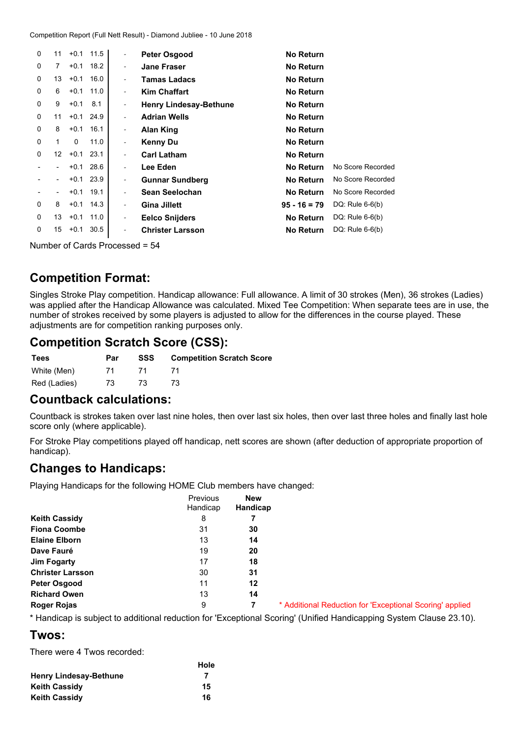| $\Omega$ | 11               | $+0.1$   | 11.5        | $\overline{\phantom{a}}$ | <b>Peter Osgood</b>           | <b>No Return</b> |                   |
|----------|------------------|----------|-------------|--------------------------|-------------------------------|------------------|-------------------|
| 0        | 7                | $+0.1$   | 18.2        | $\overline{\phantom{a}}$ | <b>Jane Fraser</b>            | <b>No Return</b> |                   |
| 0        | 13               | $+0.1$   | 16.0        | -                        | <b>Tamas Ladacs</b>           | <b>No Return</b> |                   |
| 0        | 6                | $+0.1$   | 11.0        | -                        | <b>Kim Chaffart</b>           | <b>No Return</b> |                   |
| 0        | 9                | $+0.1$   | 8.1         | -                        | <b>Henry Lindesay-Bethune</b> | <b>No Return</b> |                   |
| 0        | 11               | $+0.1$   | 24.9        | -                        | <b>Adrian Wells</b>           | <b>No Return</b> |                   |
| 0        | 8                | $+0.1$   | 16.1        | -                        | Alan King                     | <b>No Return</b> |                   |
| 0        | 1                | $\Omega$ | 11.0        | -                        | Kenny Du                      | <b>No Return</b> |                   |
| 0        | 12 <sup>12</sup> | $+0.1$   | 23.1        | -                        | <b>Carl Latham</b>            | <b>No Return</b> |                   |
|          |                  | $+0.1$   | 28.6        | -                        | Lee Eden                      | <b>No Return</b> | No Score Recorded |
|          |                  | $+0.1$   | 23.9        | -                        | <b>Gunnar Sundberg</b>        | <b>No Return</b> | No Score Recorded |
|          | -                | $+0.1$   | 19.1        | -                        | Sean Seelochan                | <b>No Return</b> | No Score Recorded |
| 0        | 8                |          | $+0.1$ 14.3 | $\overline{\phantom{a}}$ | <b>Gina Jillett</b>           | $95 - 16 = 79$   | DQ: Rule $6-6(b)$ |
| 0        | 13               | $+0.1$   | 11.0        | -                        | <b>Eelco Snijders</b>         | <b>No Return</b> | DQ: Rule $6-6(b)$ |
| 0        | 15               | $+0.1$   | 30.5        | -                        | <b>Christer Larsson</b>       | <b>No Return</b> | DQ: Rule $6-6(b)$ |
|          |                  |          |             |                          |                               |                  |                   |

Number of Cards Processed <sup>=</sup> 54

#### **Competition Format:**

Singles Stroke Play competition. Handicap allowance: Full allowance. A limit of 30 strokes (Men), 36 strokes (Ladies) was applied after the Handicap Allowance was calculated. Mixed Tee Competition: When separate tees are in use, the number of strokes received by some players is adjusted to allow for the differences in the course played. These adjustments are for competition ranking purposes only.

### **Competition Scratch Score (CSS):**

| Tees         | Par | SSS | <b>Competition Scratch Score</b> |
|--------------|-----|-----|----------------------------------|
| White (Men)  |     |     |                                  |
| Red (Ladies) | 73  | 73. |                                  |

#### **Countback calculations:**

Countback is strokes taken over last nine holes, then over last six holes, then over last three holes and finally last hole score only (where applicable).

For Stroke Play competitions played off handicap, nett scores are shown (after deduction of appropriate proportion of handicap).

### **Changes to Handicaps:**

Playing Handicaps for the following HOME Club members have changed:

|                         | Previous<br>Handicap | <b>New</b><br>Handicap |
|-------------------------|----------------------|------------------------|
| <b>Keith Cassidy</b>    | 8                    | 7                      |
| <b>Fiona Coombe</b>     | 31                   | 30                     |
| <b>Elaine Elborn</b>    | 13                   | 14                     |
| Dave Fauré              | 19                   | 20                     |
| <b>Jim Fogarty</b>      | 17                   | 18                     |
| <b>Christer Larsson</b> | 30                   | 31                     |
| Peter Osgood            | 11                   | 12                     |
| <b>Richard Owen</b>     | 13                   | 14                     |
| <b>Roger Rojas</b>      | 9                    | 7                      |

**Roger Rojas** 9 **7** \* Additional Reduction for 'Exceptional Scoring' applied

\* Handicap is subject to additional reduction for 'Exceptional Scoring' (Unified Handicapping System Clause 23.10).

#### **Twos:**

There were 4 Twos recorded:

|                               | Hole |
|-------------------------------|------|
| <b>Henry Lindesay-Bethune</b> |      |
| <b>Keith Cassidy</b>          | 15   |
| <b>Keith Cassidy</b>          | 16   |